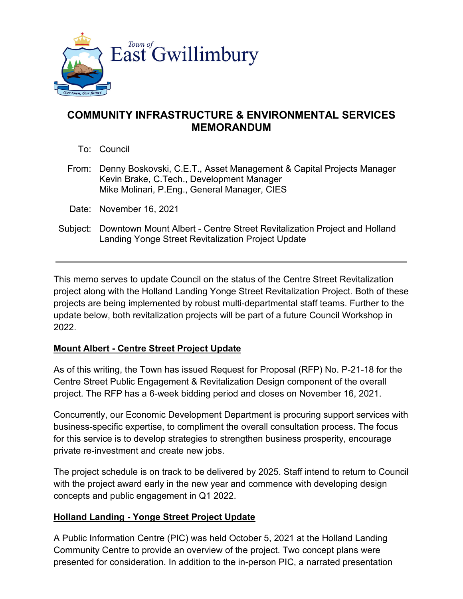

## **COMMUNITY INFRASTRUCTURE & ENVIRONMENTAL SERVICES MEMORANDUM**

- To: Council
- From: Denny Boskovski, C.E.T., Asset Management & Capital Projects Manager Kevin Brake, C.Tech., Development Manager Mike Molinari, P.Eng., General Manager, CIES
- Date: November 16, 2021
- Subject: Downtown Mount Albert Centre Street Revitalization Project and Holland Landing Yonge Street Revitalization Project Update

This memo serves to update Council on the status of the Centre Street Revitalization project along with the Holland Landing Yonge Street Revitalization Project. Both of these projects are being implemented by robust multi-departmental staff teams. Further to the update below, both revitalization projects will be part of a future Council Workshop in 2022.

## **Mount Albert - Centre Street Project Update**

As of this writing, the Town has issued Request for Proposal (RFP) No. P-21-18 for the Centre Street Public Engagement & Revitalization Design component of the overall project. The RFP has a 6-week bidding period and closes on November 16, 2021.

Concurrently, our Economic Development Department is procuring support services with business-specific expertise, to compliment the overall consultation process. The focus for this service is to develop strategies to strengthen business prosperity, encourage private re-investment and create new jobs.

The project schedule is on track to be delivered by 2025. Staff intend to return to Council with the project award early in the new year and commence with developing design concepts and public engagement in Q1 2022.

## **Holland Landing - Yonge Street Project Update**

A Public Information Centre (PIC) was held October 5, 2021 at the Holland Landing Community Centre to provide an overview of the project. Two concept plans were presented for consideration. In addition to the in-person PIC, a narrated presentation